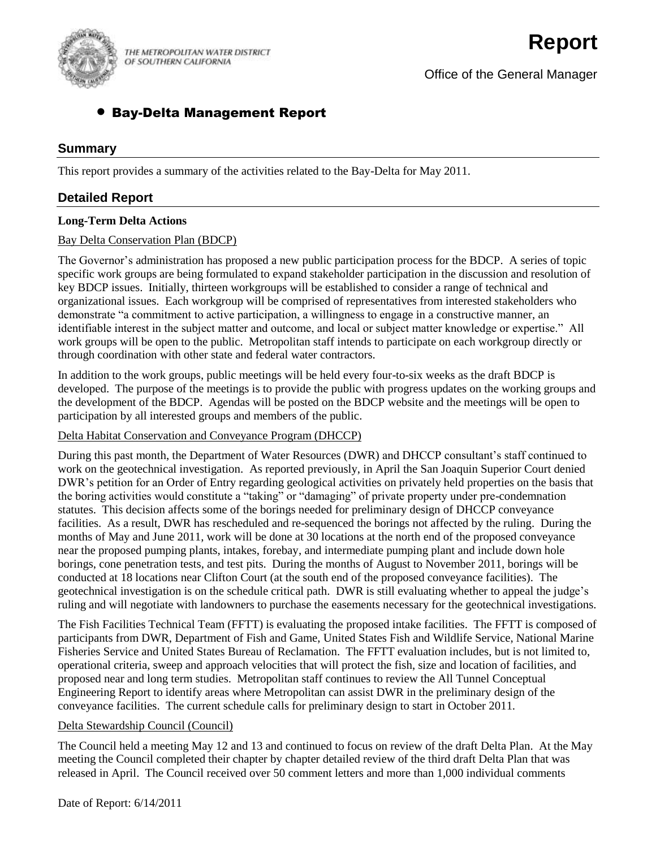

THE METROPOLITAN WATER DISTRICT OF SOUTHERN CALIFORNIA

Office of the General Manager

# Bay-Delta Management Report

### **Summary**

This report provides a summary of the activities related to the Bay-Delta for May 2011.

## **Detailed Report**

#### **Long-Term Delta Actions**

#### Bay Delta Conservation Plan (BDCP)

The Governor's administration has proposed a new public participation process for the BDCP. A series of topic specific work groups are being formulated to expand stakeholder participation in the discussion and resolution of key BDCP issues. Initially, thirteen workgroups will be established to consider a range of technical and organizational issues. Each workgroup will be comprised of representatives from interested stakeholders who demonstrate "a commitment to active participation, a willingness to engage in a constructive manner, an identifiable interest in the subject matter and outcome, and local or subject matter knowledge or expertise." All work groups will be open to the public. Metropolitan staff intends to participate on each workgroup directly or through coordination with other state and federal water contractors.

In addition to the work groups, public meetings will be held every four-to-six weeks as the draft BDCP is developed. The purpose of the meetings is to provide the public with progress updates on the working groups and the development of the BDCP. Agendas will be posted on the BDCP website and the meetings will be open to participation by all interested groups and members of the public.

#### Delta Habitat Conservation and Conveyance Program (DHCCP)

During this past month, the Department of Water Resources (DWR) and DHCCP consultant's staff continued to work on the geotechnical investigation. As reported previously, in April the San Joaquin Superior Court denied DWR's petition for an Order of Entry regarding geological activities on privately held properties on the basis that the boring activities would constitute a "taking" or "damaging" of private property under pre-condemnation statutes. This decision affects some of the borings needed for preliminary design of DHCCP conveyance facilities. As a result, DWR has rescheduled and re-sequenced the borings not affected by the ruling. During the months of May and June 2011, work will be done at 30 locations at the north end of the proposed conveyance near the proposed pumping plants, intakes, forebay, and intermediate pumping plant and include down hole borings, cone penetration tests, and test pits. During the months of August to November 2011, borings will be conducted at 18 locations near Clifton Court (at the south end of the proposed conveyance facilities). The geotechnical investigation is on the schedule critical path. DWR is still evaluating whether to appeal the judge's ruling and will negotiate with landowners to purchase the easements necessary for the geotechnical investigations.

The Fish Facilities Technical Team (FFTT) is evaluating the proposed intake facilities. The FFTT is composed of participants from DWR, Department of Fish and Game, United States Fish and Wildlife Service, National Marine Fisheries Service and United States Bureau of Reclamation. The FFTT evaluation includes, but is not limited to, operational criteria, sweep and approach velocities that will protect the fish, size and location of facilities, and proposed near and long term studies. Metropolitan staff continues to review the All Tunnel Conceptual Engineering Report to identify areas where Metropolitan can assist DWR in the preliminary design of the conveyance facilities. The current schedule calls for preliminary design to start in October 2011.

#### Delta Stewardship Council (Council)

The Council held a meeting May 12 and 13 and continued to focus on review of the draft Delta Plan. At the May meeting the Council completed their chapter by chapter detailed review of the third draft Delta Plan that was released in April. The Council received over 50 comment letters and more than 1,000 individual comments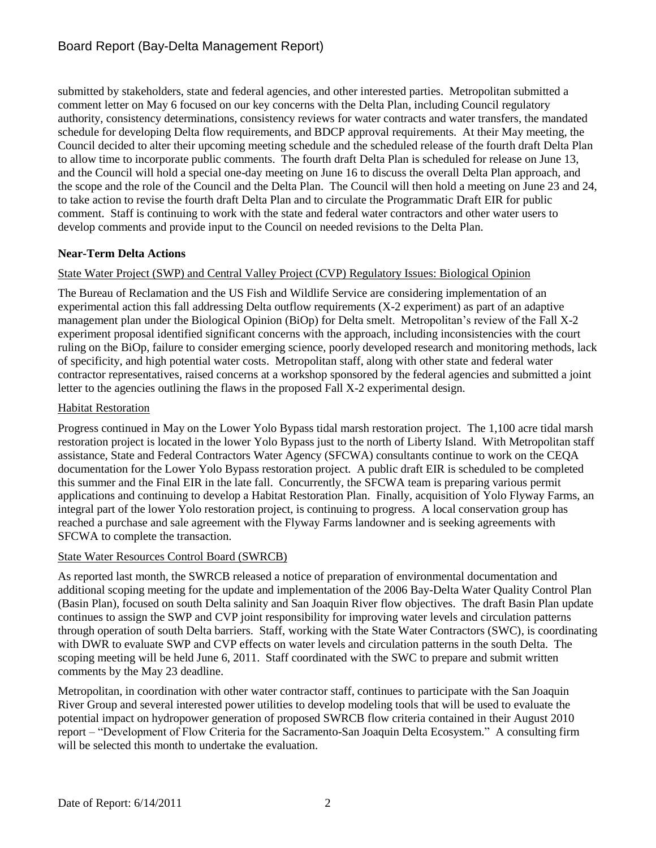submitted by stakeholders, state and federal agencies, and other interested parties. Metropolitan submitted a comment letter on May 6 focused on our key concerns with the Delta Plan, including Council regulatory authority, consistency determinations, consistency reviews for water contracts and water transfers, the mandated schedule for developing Delta flow requirements, and BDCP approval requirements. At their May meeting, the Council decided to alter their upcoming meeting schedule and the scheduled release of the fourth draft Delta Plan to allow time to incorporate public comments. The fourth draft Delta Plan is scheduled for release on June 13, and the Council will hold a special one-day meeting on June 16 to discuss the overall Delta Plan approach, and the scope and the role of the Council and the Delta Plan. The Council will then hold a meeting on June 23 and 24, to take action to revise the fourth draft Delta Plan and to circulate the Programmatic Draft EIR for public comment. Staff is continuing to work with the state and federal water contractors and other water users to develop comments and provide input to the Council on needed revisions to the Delta Plan.

## **Near-Term Delta Actions**

## State Water Project (SWP) and Central Valley Project (CVP) Regulatory Issues: Biological Opinion

The Bureau of Reclamation and the US Fish and Wildlife Service are considering implementation of an experimental action this fall addressing Delta outflow requirements (X-2 experiment) as part of an adaptive management plan under the Biological Opinion (BiOp) for Delta smelt. Metropolitan's review of the Fall X-2 experiment proposal identified significant concerns with the approach, including inconsistencies with the court ruling on the BiOp, failure to consider emerging science, poorly developed research and monitoring methods, lack of specificity, and high potential water costs. Metropolitan staff, along with other state and federal water contractor representatives, raised concerns at a workshop sponsored by the federal agencies and submitted a joint letter to the agencies outlining the flaws in the proposed Fall X-2 experimental design.

## Habitat Restoration

Progress continued in May on the Lower Yolo Bypass tidal marsh restoration project. The 1,100 acre tidal marsh restoration project is located in the lower Yolo Bypass just to the north of Liberty Island. With Metropolitan staff assistance, State and Federal Contractors Water Agency (SFCWA) consultants continue to work on the CEQA documentation for the Lower Yolo Bypass restoration project. A public draft EIR is scheduled to be completed this summer and the Final EIR in the late fall. Concurrently, the SFCWA team is preparing various permit applications and continuing to develop a Habitat Restoration Plan. Finally, acquisition of Yolo Flyway Farms, an integral part of the lower Yolo restoration project, is continuing to progress. A local conservation group has reached a purchase and sale agreement with the Flyway Farms landowner and is seeking agreements with SFCWA to complete the transaction.

### State Water Resources Control Board (SWRCB)

As reported last month, the SWRCB released a notice of preparation of environmental documentation and additional scoping meeting for the update and implementation of the 2006 Bay-Delta Water Quality Control Plan (Basin Plan), focused on south Delta salinity and San Joaquin River flow objectives. The draft Basin Plan update continues to assign the SWP and CVP joint responsibility for improving water levels and circulation patterns through operation of south Delta barriers. Staff, working with the State Water Contractors (SWC), is coordinating with DWR to evaluate SWP and CVP effects on water levels and circulation patterns in the south Delta. The scoping meeting will be held June 6, 2011. Staff coordinated with the SWC to prepare and submit written comments by the May 23 deadline.

Metropolitan, in coordination with other water contractor staff, continues to participate with the San Joaquin River Group and several interested power utilities to develop modeling tools that will be used to evaluate the potential impact on hydropower generation of proposed SWRCB flow criteria contained in their August 2010 report – "Development of Flow Criteria for the Sacramento-San Joaquin Delta Ecosystem." A consulting firm will be selected this month to undertake the evaluation.